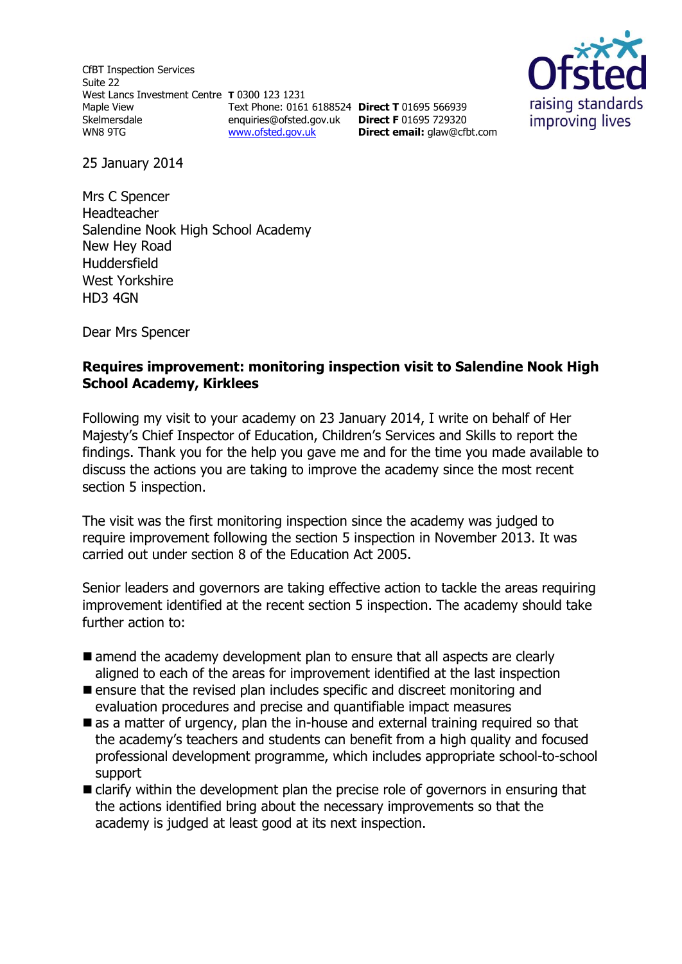CfBT Inspection Services Suite 22 West Lancs Investment Centre **T** 0300 123 1231 Maple View **Skelmersdale** WN8 9TG Text Phone: 0161 6188524 **Direct T** 01695 566939 enquiries@ofsted.gov.uk **Direct F** 01695 729320 [www.ofsted.gov.uk](http://www.ofsted.gov.uk/)



25 January 2014

Mrs C Spencer Headteacher Salendine Nook High School Academy New Hey Road Huddersfield West Yorkshire HD3 4GN

Dear Mrs Spencer

#### **Requires improvement: monitoring inspection visit to Salendine Nook High School Academy, Kirklees**

**Direct email:** [glaw@cfbt.com](../../../../../../QMS%20Doc%20Control/Ofsted%20Zip%20Files/2.%20CURRENT%20(PLEASE%20DO%20NOT%20AMEND)/S8/Current%20s8%20docs/s8%20Inspection%20Instruments/s8_inspection_instruments/s8%20RI%20templates(RP231213%201626)/s8%20RI%20templates/glaw@cfbt.com)

Following my visit to your academy on 23 January 2014, I write on behalf of Her Majesty's Chief Inspector of Education, Children's Services and Skills to report the findings. Thank you for the help you gave me and for the time you made available to discuss the actions you are taking to improve the academy since the most recent section 5 inspection.

The visit was the first monitoring inspection since the academy was judged to require improvement following the section 5 inspection in November 2013. It was carried out under section 8 of the Education Act 2005.

Senior leaders and governors are taking effective action to tackle the areas requiring improvement identified at the recent section 5 inspection. The academy should take further action to:

- amend the academy development plan to ensure that all aspects are clearly aligned to each of the areas for improvement identified at the last inspection
- **Example 1** ensure that the revised plan includes specific and discreet monitoring and evaluation procedures and precise and quantifiable impact measures
- $\blacksquare$  as a matter of urgency, plan the in-house and external training required so that the academy's teachers and students can benefit from a high quality and focused professional development programme, which includes appropriate school-to-school support
- $\blacksquare$  clarify within the development plan the precise role of governors in ensuring that the actions identified bring about the necessary improvements so that the academy is judged at least good at its next inspection.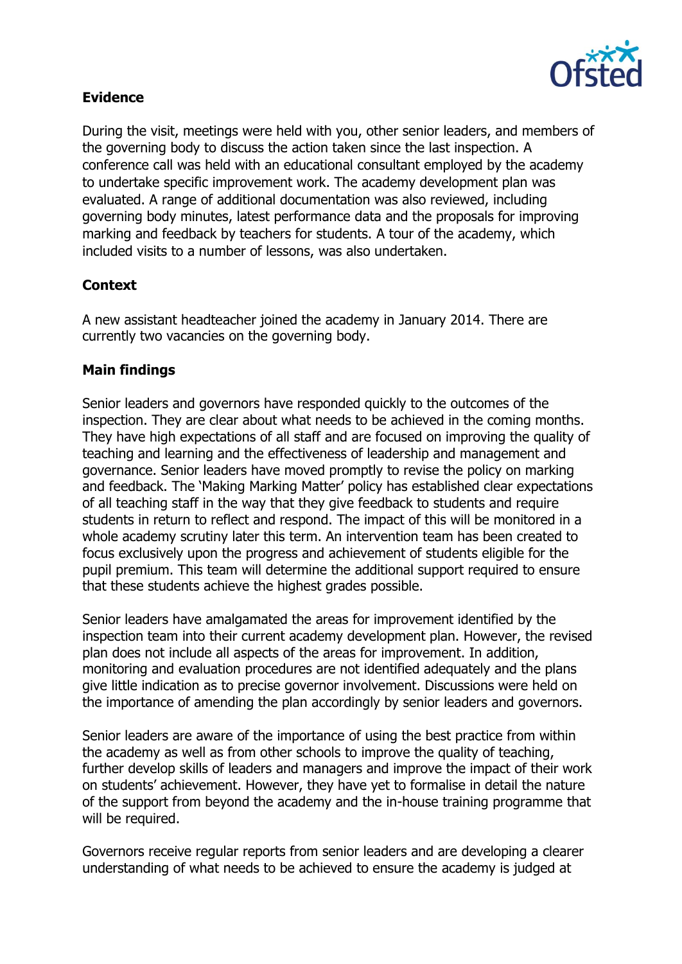

## **Evidence**

During the visit, meetings were held with you, other senior leaders, and members of the governing body to discuss the action taken since the last inspection. A conference call was held with an educational consultant employed by the academy to undertake specific improvement work. The academy development plan was evaluated. A range of additional documentation was also reviewed, including governing body minutes, latest performance data and the proposals for improving marking and feedback by teachers for students. A tour of the academy, which included visits to a number of lessons, was also undertaken.

### **Context**

A new assistant headteacher joined the academy in January 2014. There are currently two vacancies on the governing body.

# **Main findings**

Senior leaders and governors have responded quickly to the outcomes of the inspection. They are clear about what needs to be achieved in the coming months. They have high expectations of all staff and are focused on improving the quality of teaching and learning and the effectiveness of leadership and management and governance. Senior leaders have moved promptly to revise the policy on marking and feedback. The 'Making Marking Matter' policy has established clear expectations of all teaching staff in the way that they give feedback to students and require students in return to reflect and respond. The impact of this will be monitored in a whole academy scrutiny later this term. An intervention team has been created to focus exclusively upon the progress and achievement of students eligible for the pupil premium. This team will determine the additional support required to ensure that these students achieve the highest grades possible.

Senior leaders have amalgamated the areas for improvement identified by the inspection team into their current academy development plan. However, the revised plan does not include all aspects of the areas for improvement. In addition, monitoring and evaluation procedures are not identified adequately and the plans give little indication as to precise governor involvement. Discussions were held on the importance of amending the plan accordingly by senior leaders and governors.

Senior leaders are aware of the importance of using the best practice from within the academy as well as from other schools to improve the quality of teaching, further develop skills of leaders and managers and improve the impact of their work on students' achievement. However, they have yet to formalise in detail the nature of the support from beyond the academy and the in-house training programme that will be required.

Governors receive regular reports from senior leaders and are developing a clearer understanding of what needs to be achieved to ensure the academy is judged at